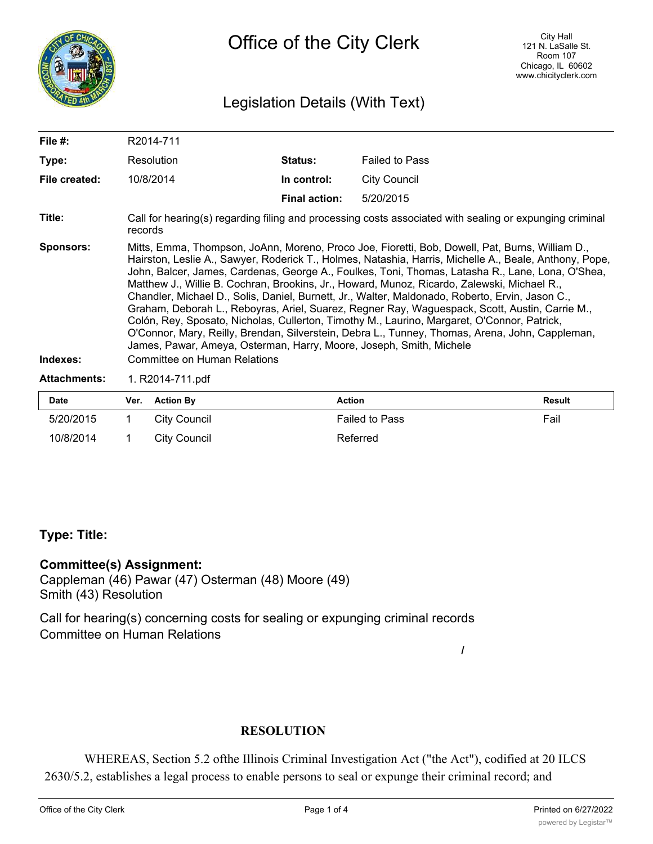

## Legislation Details (With Text)

| File #:                      |                                                                                                                                                                                                                                                                                                                                                                                                                                                                                                                                                                                                                                                                                                                                                                                                                                                                                                                            | R2014-711         |                      |                       |               |  |  |  |
|------------------------------|----------------------------------------------------------------------------------------------------------------------------------------------------------------------------------------------------------------------------------------------------------------------------------------------------------------------------------------------------------------------------------------------------------------------------------------------------------------------------------------------------------------------------------------------------------------------------------------------------------------------------------------------------------------------------------------------------------------------------------------------------------------------------------------------------------------------------------------------------------------------------------------------------------------------------|-------------------|----------------------|-----------------------|---------------|--|--|--|
| Type:                        |                                                                                                                                                                                                                                                                                                                                                                                                                                                                                                                                                                                                                                                                                                                                                                                                                                                                                                                            | <b>Resolution</b> | <b>Status:</b>       | <b>Failed to Pass</b> |               |  |  |  |
| File created:                | 10/8/2014                                                                                                                                                                                                                                                                                                                                                                                                                                                                                                                                                                                                                                                                                                                                                                                                                                                                                                                  |                   | In control:          | <b>City Council</b>   |               |  |  |  |
|                              |                                                                                                                                                                                                                                                                                                                                                                                                                                                                                                                                                                                                                                                                                                                                                                                                                                                                                                                            |                   | <b>Final action:</b> | 5/20/2015             |               |  |  |  |
| Title:                       | Call for hearing(s) regarding filing and processing costs associated with sealing or expunging criminal<br>records                                                                                                                                                                                                                                                                                                                                                                                                                                                                                                                                                                                                                                                                                                                                                                                                         |                   |                      |                       |               |  |  |  |
| <b>Sponsors:</b><br>Indexes: | Mitts, Emma, Thompson, JoAnn, Moreno, Proco Joe, Fioretti, Bob, Dowell, Pat, Burns, William D.,<br>Hairston, Leslie A., Sawyer, Roderick T., Holmes, Natashia, Harris, Michelle A., Beale, Anthony, Pope,<br>John, Balcer, James, Cardenas, George A., Foulkes, Toni, Thomas, Latasha R., Lane, Lona, O'Shea,<br>Matthew J., Willie B. Cochran, Brookins, Jr., Howard, Munoz, Ricardo, Zalewski, Michael R.,<br>Chandler, Michael D., Solis, Daniel, Burnett, Jr., Walter, Maldonado, Roberto, Ervin, Jason C.,<br>Graham, Deborah L., Reboyras, Ariel, Suarez, Regner Ray, Waguespack, Scott, Austin, Carrie M.,<br>Colón, Rey, Sposato, Nicholas, Cullerton, Timothy M., Laurino, Margaret, O'Connor, Patrick,<br>O'Connor, Mary, Reilly, Brendan, Silverstein, Debra L., Tunney, Thomas, Arena, John, Cappleman,<br>James, Pawar, Ameya, Osterman, Harry, Moore, Joseph, Smith, Michele<br>Committee on Human Relations |                   |                      |                       |               |  |  |  |
| <b>Attachments:</b>          |                                                                                                                                                                                                                                                                                                                                                                                                                                                                                                                                                                                                                                                                                                                                                                                                                                                                                                                            | 1. R2014-711.pdf  |                      |                       |               |  |  |  |
| <b>Date</b>                  | Ver.                                                                                                                                                                                                                                                                                                                                                                                                                                                                                                                                                                                                                                                                                                                                                                                                                                                                                                                       | <b>Action By</b>  | <b>Action</b>        |                       | <b>Result</b> |  |  |  |
| E/20/201E                    | 1                                                                                                                                                                                                                                                                                                                                                                                                                                                                                                                                                                                                                                                                                                                                                                                                                                                                                                                          | City Council      |                      | Eailad to Dacc        | En            |  |  |  |

| <b>Date</b> | Ver. | <b>Action By</b> | Action                | Result |
|-------------|------|------------------|-----------------------|--------|
| 5/20/2015   |      | City Council     | <b>Failed to Pass</b> | Fail   |
| 10/8/2014   |      | City Council     | Referred              |        |

### **Type: Title:**

#### **Committee(s) Assignment:**

Cappleman (46) Pawar (47) Osterman (48) Moore (49) Smith (43) Resolution

Call for hearing(s) concerning costs for sealing or expunging criminal records Committee on Human Relations

#### **RESOLUTION**

WHEREAS, Section 5.2 ofthe Illinois Criminal Investigation Act ("the Act"), codified at 20 ILCS 2630/5.2, establishes a legal process to enable persons to seal or expunge their criminal record; and

**/**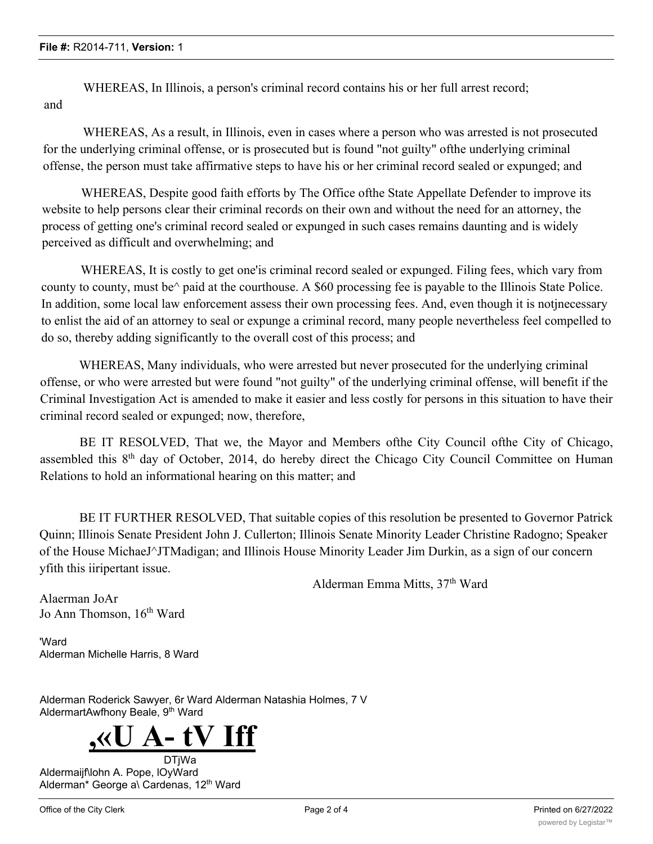WHEREAS, In Illinois, a person's criminal record contains his or her full arrest record; and

WHEREAS, As a result, in Illinois, even in cases where a person who was arrested is not prosecuted for the underlying criminal offense, or is prosecuted but is found "not guilty" ofthe underlying criminal offense, the person must take affirmative steps to have his or her criminal record sealed or expunged; and

WHEREAS, Despite good faith efforts by The Office ofthe State Appellate Defender to improve its website to help persons clear their criminal records on their own and without the need for an attorney, the process of getting one's criminal record sealed or expunged in such cases remains daunting and is widely perceived as difficult and overwhelming; and

WHEREAS, It is costly to get one'is criminal record sealed or expunged. Filing fees, which vary from county to county, must be^ paid at the courthouse. A \$60 processing fee is payable to the Illinois State Police. In addition, some local law enforcement assess their own processing fees. And, even though it is notjnecessary to enlist the aid of an attorney to seal or expunge a criminal record, many people nevertheless feel compelled to do so, thereby adding significantly to the overall cost of this process; and

WHEREAS, Many individuals, who were arrested but never prosecuted for the underlying criminal offense, or who were arrested but were found "not guilty" of the underlying criminal offense, will benefit if the Criminal Investigation Act is amended to make it easier and less costly for persons in this situation to have their criminal record sealed or expunged; now, therefore,

BE IT RESOLVED, That we, the Mayor and Members ofthe City Council ofthe City of Chicago, assembled this 8th day of October, 2014, do hereby direct the Chicago City Council Committee on Human Relations to hold an informational hearing on this matter; and

BE IT FURTHER RESOLVED, That suitable copies of this resolution be presented to Governor Patrick Quinn; Illinois Senate President John J. Cullerton; Illinois Senate Minority Leader Christine Radogno; Speaker of the House MichaeJ^JTMadigan; and Illinois House Minority Leader Jim Durkin, as a sign of our concern yfith this iiripertant issue.

Alderman Emma Mitts, 37<sup>th</sup> Ward

Alaerman JoAr Jo Ann Thomson, 16<sup>th</sup> Ward

'Ward Alderman Michelle Harris, 8 Ward

Alderman Roderick Sawyer, 6r Ward Alderman Natashia Holmes, 7 V AldermartAwfhony Beale, 9<sup>th</sup> Ward



DTjWa Aldermaijf\lohn A. Pope, lOyWard Alderman\* George a\ Cardenas, 12<sup>th</sup> Ward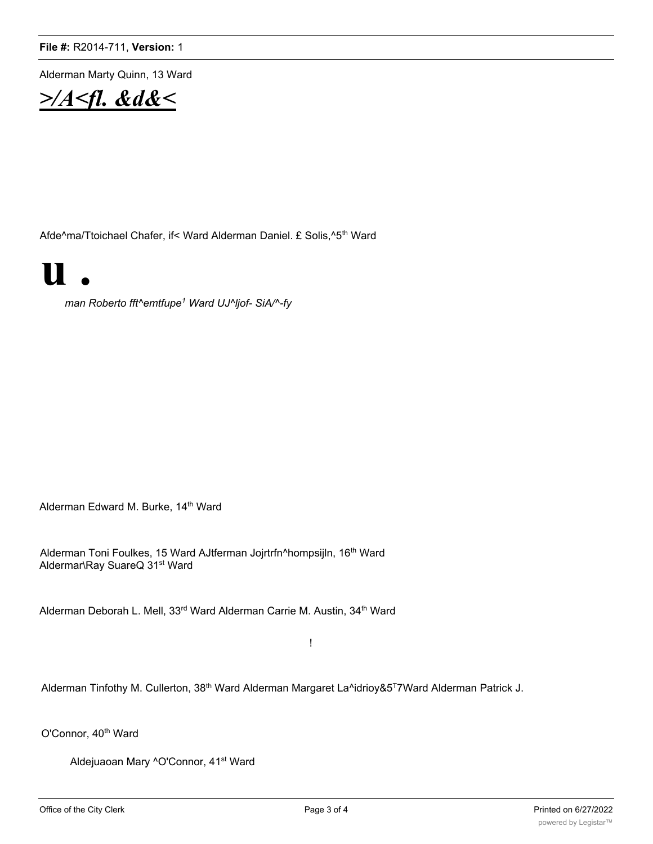Alderman Marty Quinn, 13 Ward



Afde^ma/Ttoichael Chafer, if< Ward Alderman Daniel. £ Solis,^5<sup>th</sup> Ward

# **u .**

*man Roberto fft^emtfupe1 Ward UJ^ljof- SiA/^-fy*

Alderman Edward M. Burke, 14<sup>th</sup> Ward

Alderman Toni Foulkes, 15 Ward AJtferman Jojrtrfn^hompsijln, 16<sup>th</sup> Ward Aldermar\Ray SuareQ 31<sup>st</sup> Ward

Alderman Deborah L. Mell, 33<sup>rd</sup> Ward Alderman Carrie M. Austin, 34<sup>th</sup> Ward

!

Alderman Tinfothy M. Cullerton, 38<sup>th</sup> Ward Alderman Margaret La^idrioy&5<sup>T</sup>7Ward Alderman Patrick J.

O'Connor, 40<sup>th</sup> Ward

Aldejuaoan Mary ^O'Connor, 41<sup>st</sup> Ward